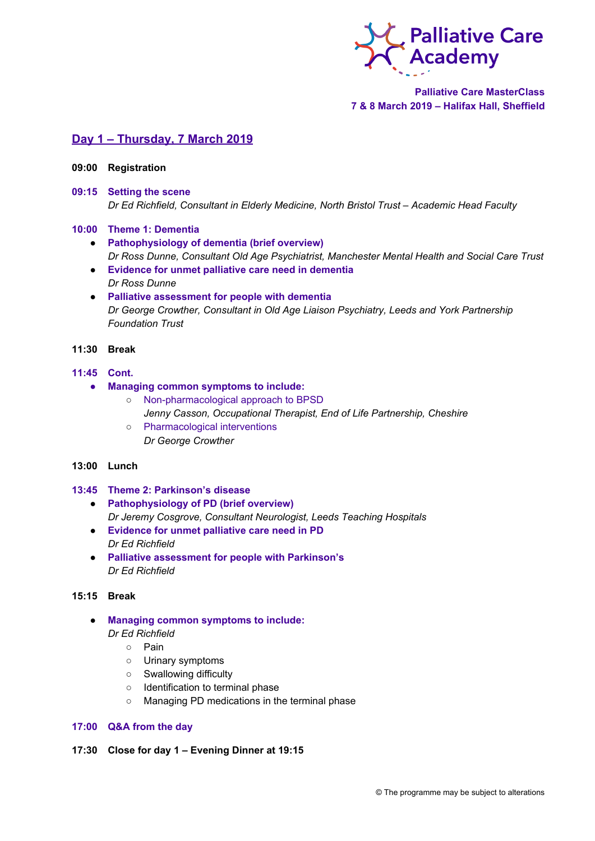

**Palliative Care MasterClass 7 & 8 March 2019 – Halifax Hall, Sheffield**

# **Day 1 – Thursday, 7 March 2019**

### **09:00 Registration**

## **09:15 Setting the scene** *Dr Ed Richfield, Consultant in Elderly Medicine, North Bristol Trust – Academic Head Faculty*

### **10:00 Theme 1: Dementia**

- **Pathophysiology of dementia (brief overview)** *Dr Ross Dunne, Consultant Old Age Psychiatrist, Manchester Mental Health and Social Care Trust*
- **Evidence for unmet palliative care need in dementia** *Dr Ross Dunne*
- **Palliative assessment for people with dementia** *Dr George Crowther, Consultant in Old Age Liaison Psychiatry, Leeds and York Partnership Foundation Trust*

# **11:30 Break**

# **11:45 Cont.**

- **● Managing common symptoms to include:**
	- Non-pharmacological approach to BPSD *Jenny Casson, Occupational Therapist, End of Life Partnership, Cheshire*
	- Pharmacological interventions *Dr George Crowther*

## **13:00 Lunch**

### **13:45 Theme 2: Parkinson's disease**

- **Pathophysiology of PD (brief overview)** *Dr Jeremy Cosgrove, Consultant Neurologist, Leeds Teaching Hospitals*
- **Evidence for unmet palliative care need in PD** *Dr Ed Richfield*
- **Palliative assessment for people with Parkinson's** *Dr Ed Richfield*

## **15:15 Break**

- **Managing common symptoms to include:** *Dr Ed Richfield*
	- Pain
	- Urinary symptoms
	- Swallowing difficulty
	- Identification to terminal phase
	- Managing PD medications in the terminal phase

## **17:00 Q&A from the day**

# **17:30 Close for day 1 – Evening Dinner at 19:15**